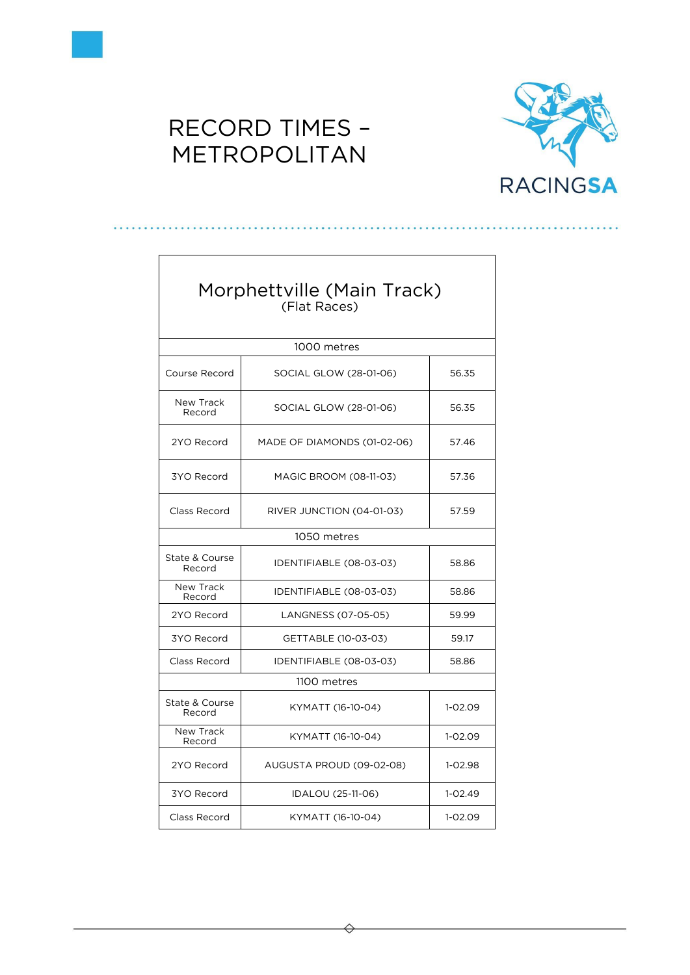



| Morphettville (Main Track)<br>(Flat Races) |                                       |           |  |
|--------------------------------------------|---------------------------------------|-----------|--|
|                                            | 1000 metres                           |           |  |
| Course Record                              | 56.35<br>SOCIAL GLOW (28-01-06)       |           |  |
| New Track<br>Record                        | SOCIAL GLOW (28-01-06)                | 56.35     |  |
| 2YO Record                                 | MADE OF DIAMONDS (01-02-06)           | 57.46     |  |
| 3YO Record                                 | MAGIC BROOM (08-11-03)                | 57.36     |  |
| Class Record                               | RIVER JUNCTION (04-01-03)             |           |  |
| 1050 metres                                |                                       |           |  |
| State & Course<br>Record                   | IDENTIFIABLE (08-03-03)               |           |  |
| <b>New Track</b><br>Record                 | IDENTIFIABLE (08-03-03)<br>58.86      |           |  |
| 2YO Record                                 | 59.99<br>LANGNESS (07-05-05)          |           |  |
| 3YO Record                                 | GETTABLE (10-03-03)<br>59.17          |           |  |
| Class Record<br>IDENTIFIABLE (08-03-03)    |                                       | 58.86     |  |
| 1100 metres                                |                                       |           |  |
| State & Course<br>Record                   | KYMATT (16-10-04)                     | 1-02.09   |  |
| New Track<br>Record                        | KYMATT (16-10-04)<br>$1 - 02.09$      |           |  |
| 2YO Record                                 | AUGUSTA PROUD (09-02-08)<br>$1-02.98$ |           |  |
| 3YO Record                                 | IDALOU (25-11-06)                     | $1-02.49$ |  |
| Class Record                               | $1 - 02.09$<br>KYMATT (16-10-04)      |           |  |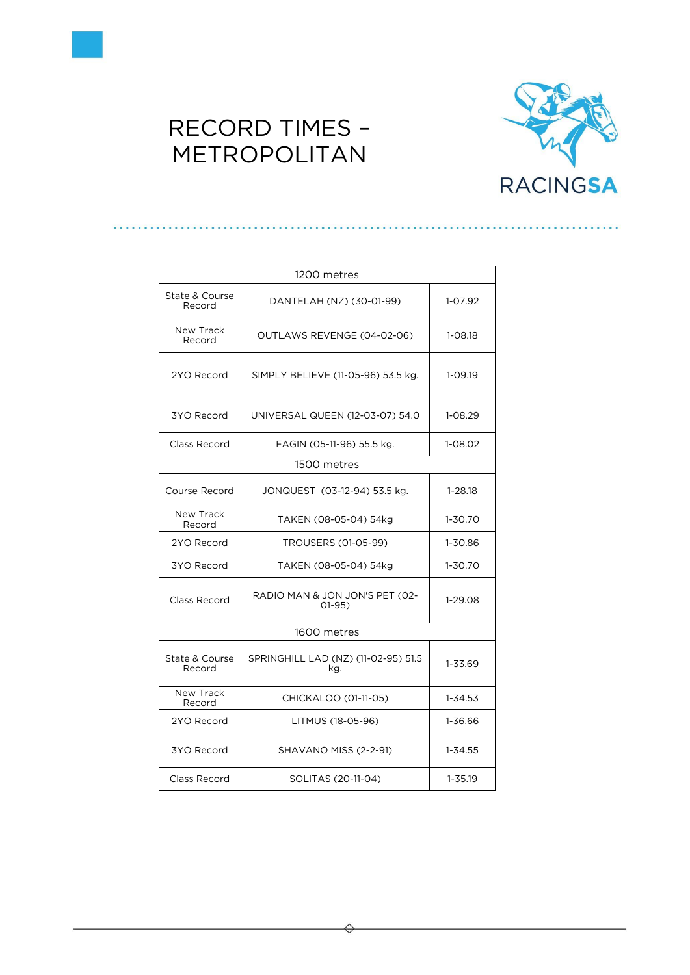



| 1200 metres                                                            |                                    |             |  |
|------------------------------------------------------------------------|------------------------------------|-------------|--|
| State & Course<br>Record                                               | DANTELAH (NZ) (30-01-99)           | $1 - 07.92$ |  |
| New Track<br>Record                                                    | OUTLAWS REVENGE (04-02-06)         | 1-08.18     |  |
| 2YO Record                                                             | SIMPLY BELIEVE (11-05-96) 53.5 kg. | $1 - 09.19$ |  |
| 3YO Record                                                             | UNIVERSAL QUEEN (12-03-07) 54.0    | 1-08.29     |  |
| Class Record                                                           | FAGIN (05-11-96) 55.5 kg.          | 1-08.02     |  |
|                                                                        | 1500 metres                        |             |  |
| Course Record                                                          | JONQUEST (03-12-94) 53.5 kg.       |             |  |
| New Track<br>Record                                                    | TAKEN (08-05-04) 54kg              | $1 - 30.70$ |  |
| 2YO Record                                                             | TROUSERS (01-05-99)                | 1-30.86     |  |
| 3YO Record                                                             | TAKEN (08-05-04) 54kg              | 1-30.70     |  |
| RADIO MAN & JON JON'S PET (02-<br>Class Record<br>$O1-95$              |                                    | 1-29.08     |  |
| 1600 metres                                                            |                                    |             |  |
| SPRINGHILL LAD (NZ) (11-02-95) 51.5<br>State & Course<br>Record<br>kg. |                                    | 1-33.69     |  |
| New Track<br>Record                                                    | CHICKALOO (01-11-05)               | $1 - 34.53$ |  |
| 2YO Record                                                             | LITMUS (18-05-96)                  | 1-36.66     |  |
| 3YO Record                                                             | <b>SHAVANO MISS (2-2-91)</b>       |             |  |
| Class Record                                                           | SOLITAS (20-11-04)<br>$1 - 35.19$  |             |  |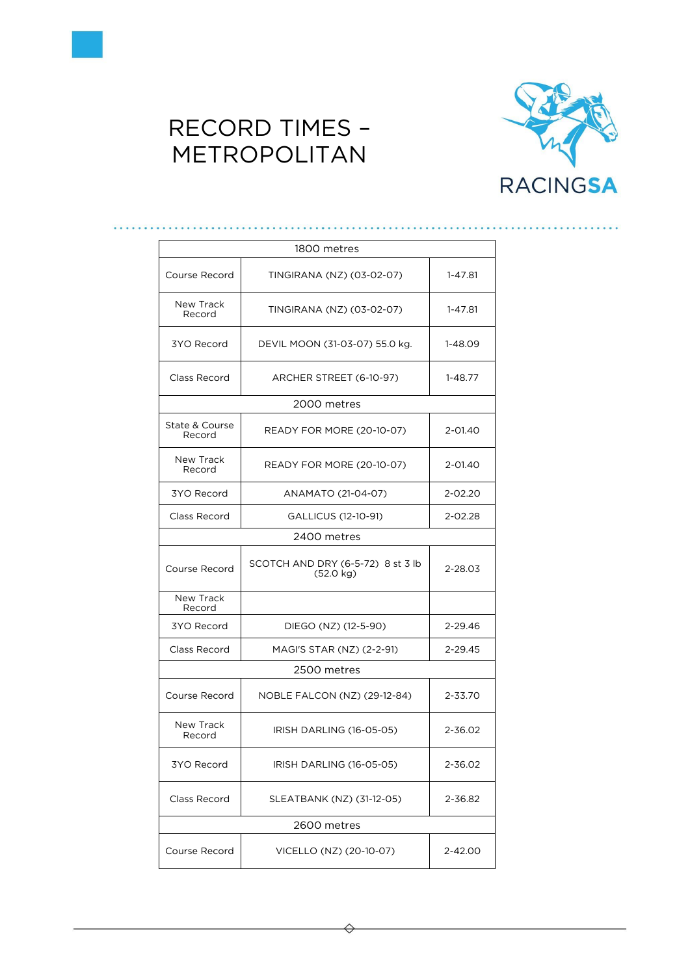



| 1800 metres              |                                                          |         |  |
|--------------------------|----------------------------------------------------------|---------|--|
| Course Record            | TINGIRANA (NZ) (03-02-07)                                | 1-47.81 |  |
| New Track<br>Record      | TINGIRANA (NZ) (03-02-07)                                | 1-47.81 |  |
| 3YO Record               | DEVIL MOON (31-03-07) 55.0 kg.                           | 1-48.09 |  |
| Class Record             | ARCHER STREET (6-10-97)                                  | 1-48.77 |  |
|                          | 2000 metres                                              |         |  |
| State & Course<br>Record | READY FOR MORE (20-10-07)                                | 2-01.40 |  |
| New Track<br>Record      | READY FOR MORE (20-10-07)                                | 2-01.40 |  |
| 3YO Record               | ANAMATO (21-04-07)                                       | 2-02.20 |  |
| Class Record             | GALLICUS (12-10-91)                                      | 2-02.28 |  |
|                          | 2400 metres                                              |         |  |
| Course Record            | SCOTCH AND DRY (6-5-72) 8 st 3 lb<br>$(52.0 \text{ kg})$ | 2-28.03 |  |
| New Track<br>Record      |                                                          |         |  |
| 3YO Record               | DIEGO (NZ) (12-5-90)<br>2-29.46                          |         |  |
| Class Record             | 2-29.45<br>MAGI'S STAR (NZ) (2-2-91)                     |         |  |
| 2500 metres              |                                                          |         |  |
| Course Record            | NOBLE FALCON (NZ) (29-12-84)                             | 2-33.70 |  |
| New Track<br>Record      | IRISH DARLING (16-05-05)<br>2-36.02                      |         |  |
|                          | IRISH DARLING (16-05-05)                                 |         |  |
| 3YO Record               |                                                          | 2-36.02 |  |
| Class Record             | SLEATBANK (NZ) (31-12-05)                                | 2-36.82 |  |
|                          | 2600 metres                                              |         |  |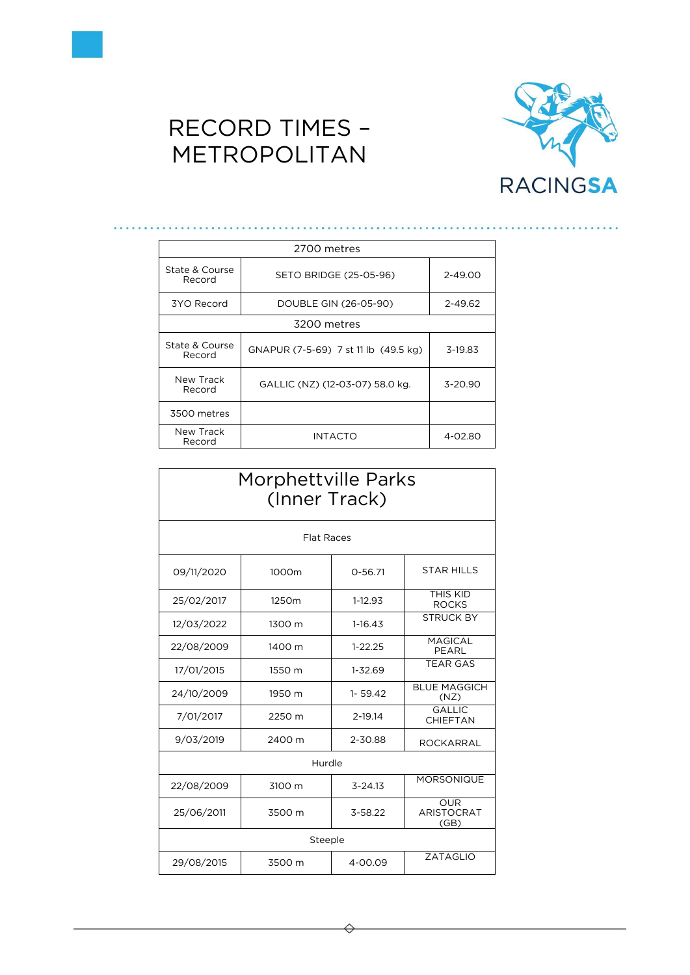



| 2700 metres              |                                      |             |  |
|--------------------------|--------------------------------------|-------------|--|
| State & Course<br>Record | SETO BRIDGE (25-05-96)               | 2-49.00     |  |
| 3YO Record               | DOUBLE GIN (26-05-90)                | 2-49.62     |  |
| 3200 metres              |                                      |             |  |
| State & Course<br>Record | GNAPUR (7-5-69) 7 st 11 lb (49.5 kg) | 3-19.83     |  |
| New Track<br>Record      | GALLIC (NZ) (12-03-07) 58.0 kg.      | $3 - 20.90$ |  |
| 3500 metres              |                                      |             |  |
| New Track<br>Record      | INTACTO                              | 4-02.80     |  |

| Morphettville Parks<br>(Inner Track) |                   |             |                                         |
|--------------------------------------|-------------------|-------------|-----------------------------------------|
| <b>Flat Races</b>                    |                   |             |                                         |
| 09/11/2020                           | 1000m             | $0 - 56.71$ | <b>STAR HILLS</b>                       |
| 25/02/2017                           | 1250 <sub>m</sub> | 1-12.93     | THIS KID<br><b>ROCKS</b>                |
| 12/03/2022                           | 1300 m            | $1-16.43$   | <b>STRUCK BY</b>                        |
| 22/08/2009                           | 1400 m            | $1 - 22.25$ | <b>MAGICAL</b><br>PEARL                 |
| 17/01/2015                           | 1550 m            | 1-32.69     | <b>TEAR GAS</b>                         |
| 24/10/2009                           | 1950 m            | $1 - 59.42$ | <b>BLUE MAGGICH</b><br>(NZ)             |
| 7/01/2017                            | 2250 m            | 2-19.14     | GAI IIC<br>CHIEFTAN                     |
| 9/03/2019                            | 2400 m            | 2-30.88     | <b>ROCKARRAL</b>                        |
| Hurdle                               |                   |             |                                         |
| 22/08/2009                           | 3100 m            | $3 - 24.13$ | <b>MORSONIQUE</b>                       |
| 25/06/2011                           | 3500 m            | 3-58.22     | <b>OUR</b><br><b>ARISTOCRAT</b><br>(GB) |
| Steeple                              |                   |             |                                         |
| 29/08/2015                           | 3500 m            | 4-00.09     | <b>ZATAGLIO</b>                         |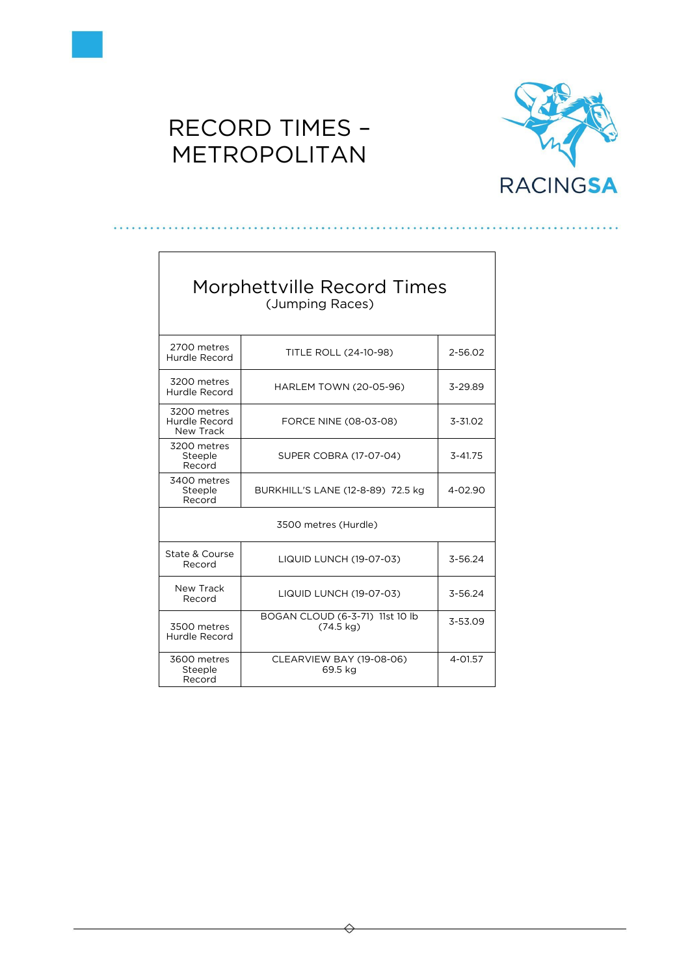

 $\Gamma$ 

## RECORD TIMES – METROPOLITAN



| Morphettville Record Times<br>(Jumping Races)              |                                                                   |             |  |
|------------------------------------------------------------|-------------------------------------------------------------------|-------------|--|
| 2700 metres<br>Hurdle Record                               | <b>TITLE ROLL (24-10-98)</b><br>2-56.02                           |             |  |
| 3200 metres<br>Hurdle Record                               | <b>HARLEM TOWN (20-05-96)</b>                                     | 3-29.89     |  |
| 3200 metres<br>Hurdle Record<br>New Track                  | FORCE NINE (08-03-08)                                             | $3 - 31.02$ |  |
| 3200 metres<br>Steeple<br>Record                           | SUPER COBRA (17-07-04)<br>$3 - 41.75$                             |             |  |
| 3400 metres<br>Steeple<br>Record                           | BURKHILL'S LANE (12-8-89) 72.5 kg                                 |             |  |
|                                                            | 3500 metres (Hurdle)                                              |             |  |
| State & Course<br><b>LIQUID LUNCH (19-07-03)</b><br>Record |                                                                   | 3-56.24     |  |
| New Track<br>Record                                        | 3-56.24<br><b>LIQUID LUNCH (19-07-03)</b>                         |             |  |
| 3500 metres<br>Hurdle Record                               | BOGAN CLOUD (6-3-71) 11st 10 lb<br>3-53.09<br>$(74.5 \text{ kg})$ |             |  |
| 3600 metres<br>Steeple<br>Record                           | CLEARVIEW BAY (19-08-06)<br>4-01.57<br>69.5 kg                    |             |  |